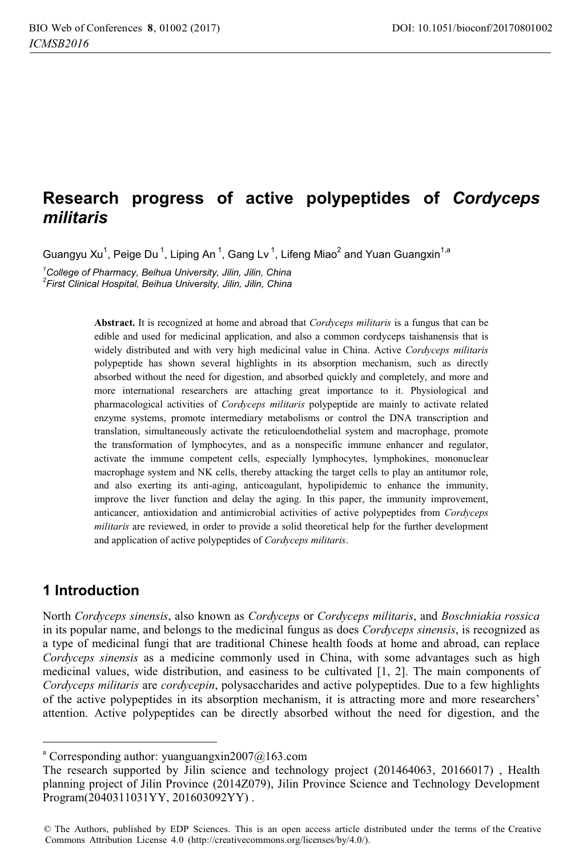# **Research progress of active polypeptides of** *Cordyceps militaris*

Guangyu Xu<sup>1</sup>, Peige Du<sup>1</sup>, Liping An<sup>1</sup>, Gang Lv<sup>1</sup>, Lifeng Miao<sup>2</sup> and Yuan Guangxin<sup>1,a</sup>

<sup>1</sup>College of Pharmacy, Beihua University, Jilin, Jilin, China <sup>2</sup> First Clinical Hospital, Beihua University, Jilin, Jilin, China *First Clinical Hospital, Beihua University, Jilin, Jilin, China* 

> **Abstract.** It is recognized at home and abroad that *Cordyceps militaris* is a fungus that can be edible and used for medicinal application, and also a common cordyceps taishanensis that is widely distributed and with very high medicinal value in China. Active *Cordyceps militaris* polypeptide has shown several highlights in its absorption mechanism, such as directly absorbed without the need for digestion, and absorbed quickly and completely, and more and more international researchers are attaching great importance to it. Physiological and pharmacological activities of *Cordyceps militaris* polypeptide are mainly to activate related enzyme systems, promote intermediary metabolisms or control the DNA transcription and translation, simultaneously activate the reticuloendothelial system and macrophage, promote the transformation of lymphocytes, and as a nonspecific immune enhancer and regulator, activate the immune competent cells, especially lymphocytes, lymphokines, mononuclear macrophage system and NK cells, thereby attacking the target cells to play an antitumor role, and also exerting its anti-aging, anticoagulant, hypolipidemic to enhance the immunity, improve the liver function and delay the aging. In this paper, the immunity improvement, anticancer, antioxidation and antimicrobial activities of active polypeptides from *Cordyceps militaris* are reviewed, in order to provide a solid theoretical help for the further development and application of active polypeptides of *Cordyceps militaris*.

# **1 Introduction**

 $\overline{a}$ 

North *Cordyceps sinensis*, also known as *Cordyceps* or *Cordyceps militaris*, and *Boschniakia rossica* in its popular name, and belongs to the medicinal fungus as does *Cordyceps sinensis*, is recognized as a type of medicinal fungi that are traditional Chinese health foods at home and abroad, can replace *Cordyceps sinensis* as a medicine commonly used in China, with some advantages such as high medicinal values, wide distribution, and easiness to be cultivated [1, 2]. The main components of *Cordyceps militaris* are *cordycepin*, polysaccharides and active polypeptides. Due to a few highlights of the active polypeptides in its absorption mechanism, it is attracting more and more researchers' attention. Active polypeptides can be directly absorbed without the need for digestion, and the

a Corresponding author: yuanguangxin2007@163.com

The research supported by Jilin science and technology project (201464063, 20166017) , Health planning project of Jilin Province (2014Z079), Jilin Province Science and Technology Development Program(2040311031YY, 201603092YY) .

<sup>©</sup> The Authors, published by EDP Sciences. This is an open access article distributed under the terms of the Creative Commons Attribution License 4.0 (http://creativecommons.org/licenses/by/4.0/).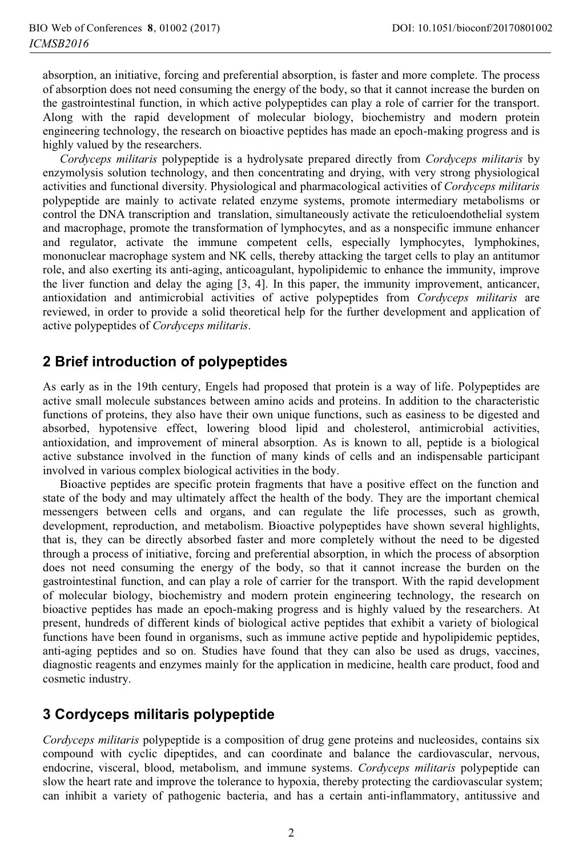absorption, an initiative, forcing and preferential absorption, is faster and more complete. The process of absorption does not need consuming the energy of the body, so that it cannot increase the burden on the gastrointestinal function, in which active polypeptides can play a role of carrier for the transport. Along with the rapid development of molecular biology, biochemistry and modern protein engineering technology, the research on bioactive peptides has made an epoch-making progress and is highly valued by the researchers.

*Cordyceps militaris* polypeptide is a hydrolysate prepared directly from *Cordyceps militaris* by enzymolysis solution technology, and then concentrating and drying, with very strong physiological activities and functional diversity. Physiological and pharmacological activities of *Cordyceps militaris* polypeptide are mainly to activate related enzyme systems, promote intermediary metabolisms or control the DNA transcription and translation, simultaneously activate the reticuloendothelial system and macrophage, promote the transformation of lymphocytes, and as a nonspecific immune enhancer and regulator, activate the immune competent cells, especially lymphocytes, lymphokines, mononuclear macrophage system and NK cells, thereby attacking the target cells to play an antitumor role, and also exerting its anti-aging, anticoagulant, hypolipidemic to enhance the immunity, improve the liver function and delay the aging [3, 4]. In this paper, the immunity improvement, anticancer, antioxidation and antimicrobial activities of active polypeptides from *Cordyceps militaris* are reviewed, in order to provide a solid theoretical help for the further development and application of active polypeptides of *Cordyceps militaris*.

### **2 Brief introduction of polypeptides**

As early as in the 19th century, Engels had proposed that protein is a way of life. Polypeptides are active small molecule substances between amino acids and proteins. In addition to the characteristic functions of proteins, they also have their own unique functions, such as easiness to be digested and absorbed, hypotensive effect, lowering blood lipid and cholesterol, antimicrobial activities, antioxidation, and improvement of mineral absorption. As is known to all, peptide is a biological active substance involved in the function of many kinds of cells and an indispensable participant involved in various complex biological activities in the body.

Bioactive peptides are specific protein fragments that have a positive effect on the function and state of the body and may ultimately affect the health of the body. They are the important chemical messengers between cells and organs, and can regulate the life processes, such as growth, development, reproduction, and metabolism. Bioactive polypeptides have shown several highlights, that is, they can be directly absorbed faster and more completely without the need to be digested through a process of initiative, forcing and preferential absorption, in which the process of absorption does not need consuming the energy of the body, so that it cannot increase the burden on the gastrointestinal function, and can play a role of carrier for the transport. With the rapid development of molecular biology, biochemistry and modern protein engineering technology, the research on bioactive peptides has made an epoch-making progress and is highly valued by the researchers. At present, hundreds of different kinds of biological active peptides that exhibit a variety of biological functions have been found in organisms, such as immune active peptide and hypolipidemic peptides, anti-aging peptides and so on. Studies have found that they can also be used as drugs, vaccines, diagnostic reagents and enzymes mainly for the application in medicine, health care product, food and cosmetic industry.

### **3 Cordyceps militaris polypeptide**

*Cordyceps militaris* polypeptide is a composition of drug gene proteins and nucleosides, contains six compound with cyclic dipeptides, and can coordinate and balance the cardiovascular, nervous, endocrine, visceral, blood, metabolism, and immune systems. *Cordyceps militaris* polypeptide can slow the heart rate and improve the tolerance to hypoxia, thereby protecting the cardiovascular system; can inhibit a variety of pathogenic bacteria, and has a certain anti-inflammatory, antitussive and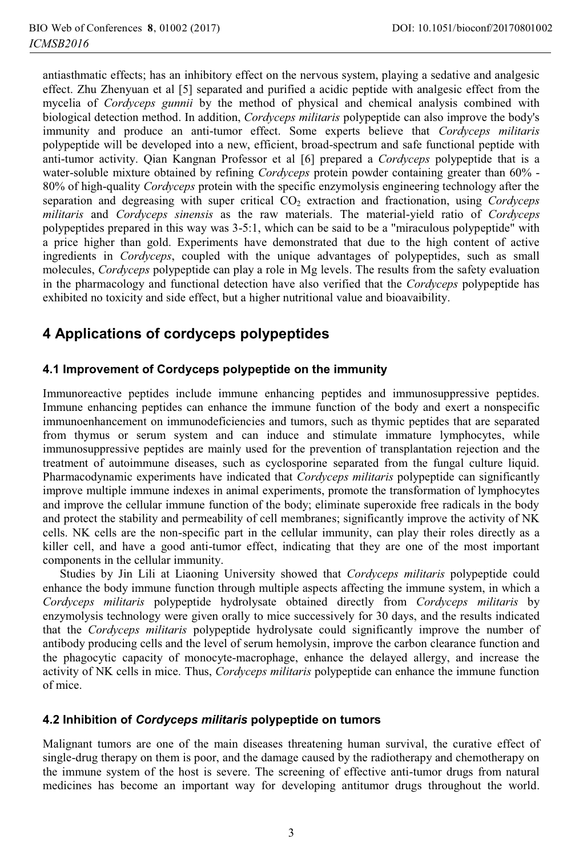antiasthmatic effects; has an inhibitory effect on the nervous system, playing a sedative and analgesic effect. Zhu Zhenyuan et al [5] separated and purified a acidic peptide with analgesic effect from the mycelia of *Cordyceps gunnii* by the method of physical and chemical analysis combined with biological detection method. In addition, *Cordyceps militaris* polypeptide can also improve the body's immunity and produce an anti-tumor effect. Some experts believe that *Cordyceps militaris* polypeptide will be developed into a new, efficient, broad-spectrum and safe functional peptide with anti-tumor activity. Qian Kangnan Professor et al [6] prepared a *Cordyceps* polypeptide that is a water-soluble mixture obtained by refining *Cordyceps* protein powder containing greater than 60% - 80% of high-quality *Cordyceps* protein with the specific enzymolysis engineering technology after the separation and degreasing with super critical CO<sub>2</sub> extraction and fractionation, using *Cordyceps militaris* and *Cordyceps sinensis* as the raw materials. The material-yield ratio of *Cordyceps* polypeptides prepared in this way was 3-5:1, which can be said to be a "miraculous polypeptide" with a price higher than gold. Experiments have demonstrated that due to the high content of active ingredients in *Cordyceps*, coupled with the unique advantages of polypeptides, such as small molecules, *Cordyceps* polypeptide can play a role in Mg levels. The results from the safety evaluation in the pharmacology and functional detection have also verified that the *Cordyceps* polypeptide has exhibited no toxicity and side effect, but a higher nutritional value and bioavaibility.

# **4 Applications of cordyceps polypeptides**

#### **4.1 Improvement of Cordyceps polypeptide on the immunity**

Immunoreactive peptides include immune enhancing peptides and immunosuppressive peptides. Immune enhancing peptides can enhance the immune function of the body and exert a nonspecific immunoenhancement on immunodeficiencies and tumors, such as thymic peptides that are separated from thymus or serum system and can induce and stimulate immature lymphocytes, while immunosuppressive peptides are mainly used for the prevention of transplantation rejection and the treatment of autoimmune diseases, such as cyclosporine separated from the fungal culture liquid. Pharmacodynamic experiments have indicated that *Cordyceps militaris* polypeptide can significantly improve multiple immune indexes in animal experiments, promote the transformation of lymphocytes and improve the cellular immune function of the body; eliminate superoxide free radicals in the body and protect the stability and permeability of cell membranes; significantly improve the activity of NK cells. NK cells are the non-specific part in the cellular immunity, can play their roles directly as a killer cell, and have a good anti-tumor effect, indicating that they are one of the most important components in the cellular immunity.

Studies by Jin Lili at Liaoning University showed that *Cordyceps militaris* polypeptide could enhance the body immune function through multiple aspects affecting the immune system, in which a *Cordyceps militaris* polypeptide hydrolysate obtained directly from *Cordyceps militaris* by enzymolysis technology were given orally to mice successively for 30 days, and the results indicated that the *Cordyceps militaris* polypeptide hydrolysate could significantly improve the number of antibody producing cells and the level of serum hemolysin, improve the carbon clearance function and the phagocytic capacity of monocyte-macrophage, enhance the delayed allergy, and increase the activity of NK cells in mice. Thus, *Cordyceps militaris* polypeptide can enhance the immune function of mice.

#### **4.2 Inhibition of** *Cordyceps militaris* **polypeptide on tumors**

Malignant tumors are one of the main diseases threatening human survival, the curative effect of single-drug therapy on them is poor, and the damage caused by the radiotherapy and chemotherapy on the immune system of the host is severe. The screening of effective anti-tumor drugs from natural medicines has become an important way for developing antitumor drugs throughout the world.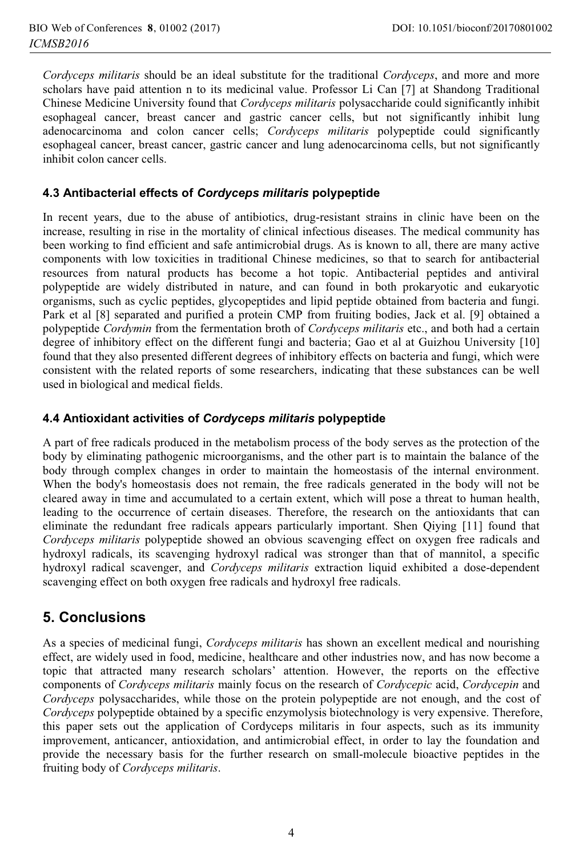*Cordyceps militaris* should be an ideal substitute for the traditional *Cordyceps*, and more and more scholars have paid attention n to its medicinal value. Professor Li Can [7] at Shandong Traditional Chinese Medicine University found that *Cordyceps militaris* polysaccharide could significantly inhibit esophageal cancer, breast cancer and gastric cancer cells, but not significantly inhibit lung adenocarcinoma and colon cancer cells; *Cordyceps militaris* polypeptide could significantly esophageal cancer, breast cancer, gastric cancer and lung adenocarcinoma cells, but not significantly inhibit colon cancer cells.

#### **4.3 Antibacterial effects of** *Cordyceps militaris* **polypeptide**

In recent years, due to the abuse of antibiotics, drug-resistant strains in clinic have been on the increase, resulting in rise in the mortality of clinical infectious diseases. The medical community has been working to find efficient and safe antimicrobial drugs. As is known to all, there are many active components with low toxicities in traditional Chinese medicines, so that to search for antibacterial resources from natural products has become a hot topic. Antibacterial peptides and antiviral polypeptide are widely distributed in nature, and can found in both prokaryotic and eukaryotic organisms, such as cyclic peptides, glycopeptides and lipid peptide obtained from bacteria and fungi. Park et al [8] separated and purified a protein CMP from fruiting bodies, Jack et al. [9] obtained a polypeptide *Cordymin* from the fermentation broth of *Cordyceps militaris* etc., and both had a certain degree of inhibitory effect on the different fungi and bacteria; Gao et al at Guizhou University [10] found that they also presented different degrees of inhibitory effects on bacteria and fungi, which were consistent with the related reports of some researchers, indicating that these substances can be well used in biological and medical fields.

#### **4.4 Antioxidant activities of** *Cordyceps militaris* **polypeptide**

A part of free radicals produced in the metabolism process of the body serves as the protection of the body by eliminating pathogenic microorganisms, and the other part is to maintain the balance of the body through complex changes in order to maintain the homeostasis of the internal environment. When the body's homeostasis does not remain, the free radicals generated in the body will not be cleared away in time and accumulated to a certain extent, which will pose a threat to human health, leading to the occurrence of certain diseases. Therefore, the research on the antioxidants that can eliminate the redundant free radicals appears particularly important. Shen Qiying [11] found that *Cordyceps militaris* polypeptide showed an obvious scavenging effect on oxygen free radicals and hydroxyl radicals, its scavenging hydroxyl radical was stronger than that of mannitol, a specific hydroxyl radical scavenger, and *Cordyceps militaris* extraction liquid exhibited a dose-dependent scavenging effect on both oxygen free radicals and hydroxyl free radicals.

# **5. Conclusions**

As a species of medicinal fungi, *Cordyceps militaris* has shown an excellent medical and nourishing effect, are widely used in food, medicine, healthcare and other industries now, and has now become a topic that attracted many research scholars' attention. However, the reports on the effective components of *Cordyceps militaris* mainly focus on the research of *Cordycepic* acid, *Cordycepin* and *Cordyceps* polysaccharides, while those on the protein polypeptide are not enough, and the cost of *Cordyceps* polypeptide obtained by a specific enzymolysis biotechnology is very expensive. Therefore, this paper sets out the application of Cordyceps militaris in four aspects, such as its immunity improvement, anticancer, antioxidation, and antimicrobial effect, in order to lay the foundation and provide the necessary basis for the further research on small-molecule bioactive peptides in the fruiting body of *Cordyceps militaris*.